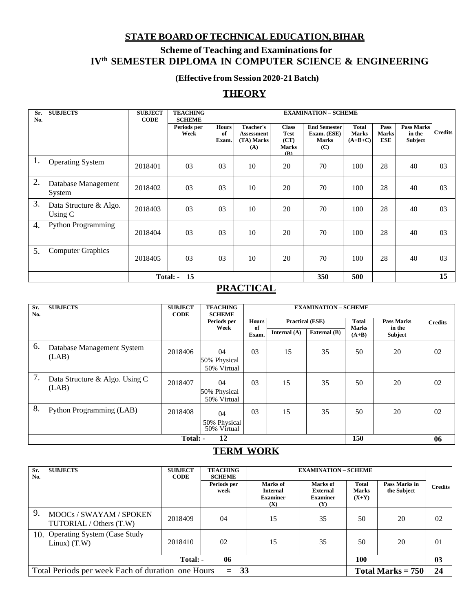#### **STATEBOARD OFTECHNICALEDUCATION,BIHAR**

# **Scheme of Teaching and Examinationsfor IVth SEMESTER DIPLOMA IN COMPUTER SCIENCE & ENGINEERING**

#### **(Effective from Session 2020-21 Batch)**

# **THEORY**

| Sr.<br>No. | <b>SUBJECTS</b>                     | <b>SUBJECT</b><br><b>CODE</b> | <b>TEACHING</b><br><b>SCHEME</b> |                             | <b>EXAMINATION - SCHEME</b>                  |                                                            |                                                           |                                    |                                    |                                        |                |
|------------|-------------------------------------|-------------------------------|----------------------------------|-----------------------------|----------------------------------------------|------------------------------------------------------------|-----------------------------------------------------------|------------------------------------|------------------------------------|----------------------------------------|----------------|
|            |                                     |                               | Periods per<br>Week              | <b>Hours</b><br>of<br>Exam. | Teacher's<br>Assessment<br>(TA) Marks<br>(A) | <b>Class</b><br><b>Test</b><br>(CT)<br><b>Marks</b><br>(B) | <b>End Semester</b><br>Exam. (ESE)<br><b>Marks</b><br>(C) | Total<br><b>Marks</b><br>$(A+B+C)$ | Pass<br><b>Marks</b><br><b>ESE</b> | <b>Pass Marks</b><br>in the<br>Subject | <b>Credits</b> |
| 1.         | <b>Operating System</b>             | 2018401                       | 03                               | 0 <sub>3</sub>              | 10                                           | 20                                                         | 70                                                        | 100                                | 28                                 | 40                                     | 03             |
| 2.         | Database Management<br>System       | 2018402                       | 03                               | 03                          | 10                                           | 20                                                         | 70                                                        | 100                                | 28                                 | 40                                     | 03             |
| 3.         | Data Structure & Algo.<br>Using $C$ | 2018403                       | 03                               | 03                          | 10                                           | 20                                                         | 70                                                        | 100                                | 28                                 | 40                                     | 03             |
| 4.         | <b>Python Programming</b>           | 2018404                       | 03                               | 0 <sub>3</sub>              | 10                                           | 20                                                         | 70                                                        | 100                                | 28                                 | 40                                     | 03             |
| 5.         | <b>Computer Graphics</b>            | 2018405                       | 03                               | 03                          | 10                                           | 20                                                         | 70                                                        | 100                                | 28                                 | 40                                     | 03             |
|            | 15<br>Total: -                      |                               |                                  |                             |                                              |                                                            | 350                                                       | 500                                |                                    |                                        | 15             |

# **PRACTICAL**

| Sr.<br>No. | <b>SUBJECTS</b>                         | <b>SUBJECT</b><br><b>CODE</b> | <b>TEACHING</b><br><b>SCHEME</b>  | <b>EXAMINATION - SCHEME</b> |              |                        |                              |                             |                |
|------------|-----------------------------------------|-------------------------------|-----------------------------------|-----------------------------|--------------|------------------------|------------------------------|-----------------------------|----------------|
|            |                                         |                               | Periods per<br>Week               | <b>Hours</b><br>of          |              | <b>Practical (ESE)</b> | <b>Total</b><br><b>Marks</b> | <b>Pass Marks</b><br>in the | <b>Credits</b> |
|            |                                         |                               |                                   | Exam.                       | Internal (A) | External $(B)$         | $(A+B)$                      | <b>Subject</b>              |                |
| 6.         | Database Management System<br>(LAB)     | 2018406                       | 04<br>50% Physical<br>50% Virtual | 03                          | 15           | 35                     | 50                           | 20                          | 02             |
| 7.         | Data Structure & Algo. Using C<br>(LAB) | 2018407                       | 04<br>50% Physical<br>50% Virtual | 03                          | 15           | 35                     | 50                           | 20                          | 02             |
| 8.         | Python Programming (LAB)                | 2018408                       | 04<br>50% Physical<br>50% Virtual | 03                          | 15           | 35                     | 50                           | 20                          | 02             |
|            | 150<br>12<br>Total: -                   |                               |                                   |                             |              |                        |                              |                             | 06             |

### **TERM WORK**

| Sr.<br>No.                                                                                  | <b>SUBJECTS</b>                                       | <b>SUBJECT</b><br><b>CODE</b> | <b>TEACHING</b><br><b>SCHEME</b> |                                                       | <b>EXAMINATION - SCHEME</b>                           |                                         |                              |                |  |
|---------------------------------------------------------------------------------------------|-------------------------------------------------------|-------------------------------|----------------------------------|-------------------------------------------------------|-------------------------------------------------------|-----------------------------------------|------------------------------|----------------|--|
|                                                                                             |                                                       |                               | Periods per<br>week              | Marks of<br><b>Internal</b><br><b>Examiner</b><br>(X) | Marks of<br><b>External</b><br><b>Examiner</b><br>(Y) | <b>Total</b><br><b>Marks</b><br>$(X+Y)$ | Pass Marks in<br>the Subject | <b>Credits</b> |  |
| 9.                                                                                          | MOOCs / SWAYAM / SPOKEN<br>TUTORIAL / Others (T.W)    | 2018409                       | 04                               | 15                                                    | 35                                                    | 50                                      | 20                           | 02             |  |
| 10.                                                                                         | <b>Operating System (Case Study</b><br>Linux) $(T.W)$ | 2018410                       | 02                               | 15                                                    | 35                                                    | 50                                      | 20                           | 0 <sub>1</sub> |  |
| 06<br>Total: -<br>100<br>0 <sub>3</sub>                                                     |                                                       |                               |                                  |                                                       |                                                       |                                         |                              |                |  |
| 33<br>24<br>Total Periods per week Each of duration one Hours<br>Total Marks $= 750$<br>$=$ |                                                       |                               |                                  |                                                       |                                                       |                                         |                              |                |  |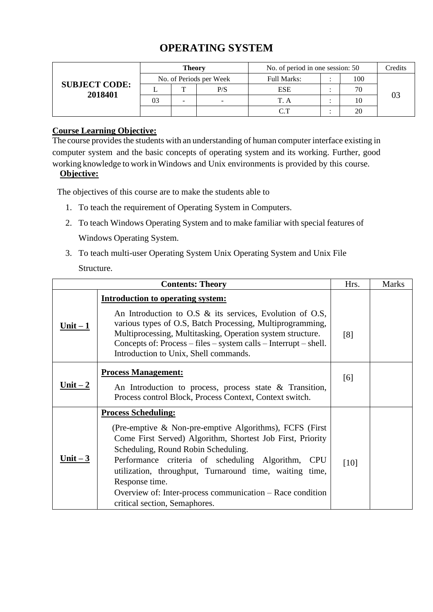# **OPERATING SYSTEM**

|                                 |                         | Theory |     | No. of period in one session: 50 |     | Credits |
|---------------------------------|-------------------------|--------|-----|----------------------------------|-----|---------|
|                                 | No. of Periods per Week |        |     | Full Marks:                      | 100 |         |
| <b>SUBJECT CODE:</b><br>2018401 |                         |        | P/S | <b>ESE</b>                       | 70  |         |
|                                 |                         |        |     | T. A                             | 10  |         |
|                                 |                         |        |     | $\cap$ T                         | 20  |         |

### **Course Learning Objective:**

The course provides the students with an understanding of human computer interface existing in computer system and the basic concepts of operating system and its working. Further, good working knowledge to work inWindows and Unix environments is provided by this course.

# **Objective:**

The objectives of this course are to make the students able to

- 1. To teach the requirement of Operating System in Computers.
- 2. To teach Windows Operating System and to make familiar with special features of Windows Operating System.
- 3. To teach multi-user Operating System Unix Operating System and Unix File Structure.

|                             | <b>Contents: Theory</b>                                                                                                                                                                                                                                                                                                          | Hrs. | <b>Marks</b> |
|-----------------------------|----------------------------------------------------------------------------------------------------------------------------------------------------------------------------------------------------------------------------------------------------------------------------------------------------------------------------------|------|--------------|
|                             | <b>Introduction to operating system:</b>                                                                                                                                                                                                                                                                                         |      |              |
| $Unit-1$                    | An Introduction to O.S $\&$ its services, Evolution of O.S,<br>various types of O.S, Batch Processing, Multiprogramming,<br>Multiprocessing, Multitasking, Operation system structure.<br>Concepts of: Process $-$ files $-$ system calls $-$ Interrupt $-$ shell.<br>Introduction to Unix, Shell commands.                      | [8]  |              |
| $Unit - 2$                  | <b>Process Management:</b><br>An Introduction to process, process state $\&$ Transition,<br>Process control Block, Process Context, Context switch.                                                                                                                                                                              | [6]  |              |
| <u>Unit <math>-3</math></u> | <b>Process Scheduling:</b><br>(Pre-emptive $\&$ Non-pre-emptive Algorithms), FCFS (First)<br>Come First Served) Algorithm, Shortest Job First, Priority<br>Scheduling, Round Robin Scheduling.<br>Performance criteria of scheduling Algorithm, CPU<br>utilization, throughput, Turnaround time, waiting time,<br>Response time. | [10] |              |
|                             | Overview of: Inter-process communication – Race condition<br>critical section, Semaphores.                                                                                                                                                                                                                                       |      |              |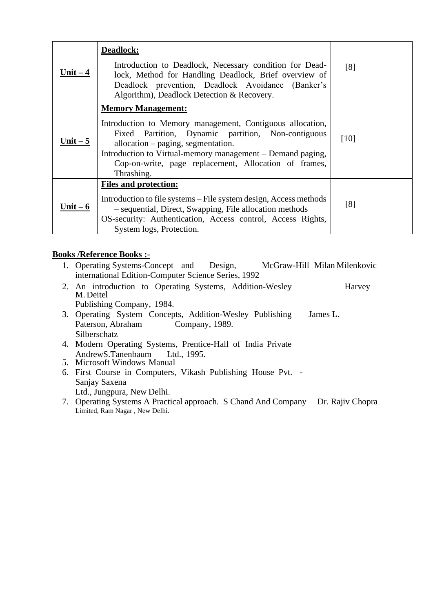| Unit $-4$ | Deadlock:<br>Introduction to Deadlock, Necessary condition for Dead-<br>lock, Method for Handling Deadlock, Brief overview of<br>Deadlock prevention, Deadlock Avoidance (Banker's<br>Algorithm), Deadlock Detection & Recovery.                                                                                        | [8]  |  |
|-----------|-------------------------------------------------------------------------------------------------------------------------------------------------------------------------------------------------------------------------------------------------------------------------------------------------------------------------|------|--|
| Unit $-5$ | <b>Memory Management:</b><br>Introduction to Memory management, Contiguous allocation,<br>Fixed Partition, Dynamic partition, Non-contiguous<br>allocation – paging, segmentation.<br>Introduction to Virtual-memory management – Demand paging,<br>Cop-on-write, page replacement, Allocation of frames,<br>Thrashing. | [10] |  |
| Unit $-6$ | <b>Files and protection:</b><br>Introduction to file systems – File system design, Access methods<br>- sequential, Direct, Swapping, File allocation methods<br>OS-security: Authentication, Access control, Access Rights,<br>System logs, Protection.                                                                 | [8]  |  |

### **Books /Reference Books :-**

- 1. Operating Systems-Concept and Design, McGraw-Hill Milan Milenkovic international Edition-Computer Science Series, 1992
- 2. An introduction to Operating Systems, Addition-Wesley Harvey M. Deitel Publishing Company, 1984.
- 3. Operating System Concepts, Addition-Wesley Publishing James L. Paterson, Abraham Company, 1989. Silberschatz
- 4. Modern Operating Systems, Prentice-Hall of India Private AndrewS.Tanenbaum Ltd., 1995.
- 5. Microsoft Windows Manual
- 6. First Course in Computers, Vikash Publishing House Pvt. Sanjay Saxena Ltd., Jungpura, New Delhi.
- 7. Operating Systems A Practical approach. S Chand And Company Dr. Rajiv Chopra Limited, Ram Nagar , New Delhi.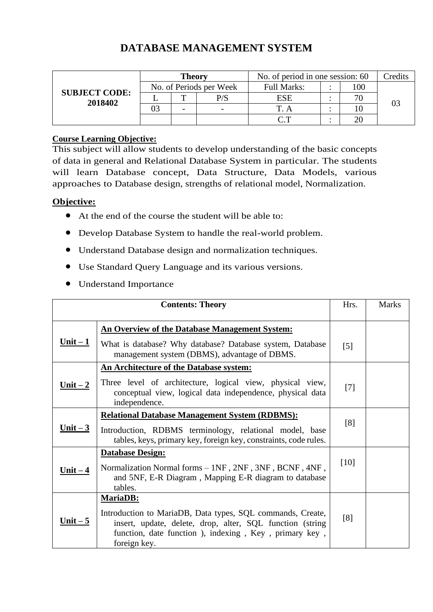# **DATABASE MANAGEMENT SYSTEM**

|                                 |                         | Theory |     | No. of period in one session: 60     | Credits |  |
|---------------------------------|-------------------------|--------|-----|--------------------------------------|---------|--|
|                                 | No. of Periods per Week |        |     | <b>Full Marks:</b>                   | .00     |  |
| <b>SUBJECT CODE:</b><br>2018402 |                         | m      | P/S | ESE                                  |         |  |
|                                 |                         |        |     |                                      |         |  |
|                                 |                         |        |     | $\curvearrowright$ $\curvearrowleft$ |         |  |

#### **Course Learning Objective:**

This subject will allow students to develop understanding of the basic concepts of data in general and Relational Database System in particular. The students will learn Database concept, Data Structure, Data Models, various approaches to Database design, strengths of relational model, Normalization.

#### **Objective:**

- At the end of the course the student will be able to:
- Develop Database System to handle the real-world problem.
- Understand Database design and normalization techniques.
- Use Standard Query Language and its various versions.
- Understand Importance

|            | <b>Contents: Theory</b>                                                                                                                                                                          | Hrs.              | <b>Marks</b> |
|------------|--------------------------------------------------------------------------------------------------------------------------------------------------------------------------------------------------|-------------------|--------------|
|            | <b>An Overview of the Database Management System:</b>                                                                                                                                            |                   |              |
| $Unit - 1$ | What is database? Why database? Database system, Database<br>management system (DBMS), advantage of DBMS.                                                                                        | $\lceil 5 \rceil$ |              |
|            | <b>An Architecture of the Database system:</b>                                                                                                                                                   |                   |              |
| $Unit - 2$ | Three level of architecture, logical view, physical view,<br>conceptual view, logical data independence, physical data<br>independence.                                                          | $[7]$             |              |
| $Unit - 3$ | <b>Relational Database Management System (RDBMS):</b>                                                                                                                                            |                   |              |
|            | Introduction, RDBMS terminology, relational model, base<br>tables, keys, primary key, foreign key, constraints, code rules.                                                                      | [8]               |              |
|            | <b>Database Design:</b>                                                                                                                                                                          |                   |              |
| $Unit - 4$ | Normalization Normal forms - 1NF, 2NF, 3NF, BCNF, 4NF,                                                                                                                                           | $[10]$            |              |
|            | and 5NF, E-R Diagram, Mapping E-R diagram to database<br>tables.                                                                                                                                 |                   |              |
|            | <b>MariaDB:</b>                                                                                                                                                                                  |                   |              |
| Unit $-5$  | Introduction to MariaDB, Data types, SQL commands, Create,<br>insert, update, delete, drop, alter, SQL function (string<br>function, date function), indexing, Key, primary key,<br>foreign key. | [8]               |              |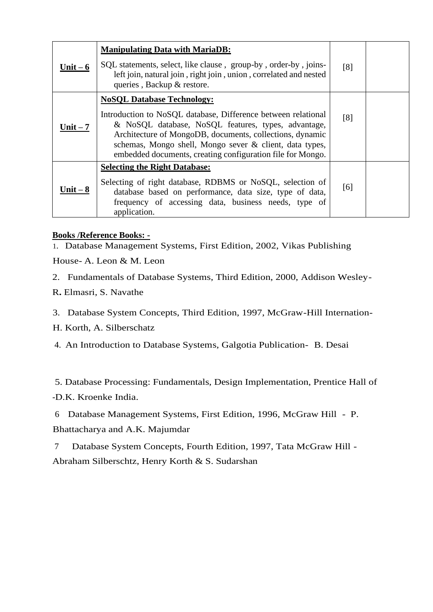| Unit $-6$ | <b>Manipulating Data with MariaDB:</b><br>SQL statements, select, like clause, group-by, order-by, joins-<br>left join, natural join, right join, union, correlated and nested<br>queries, Backup & restore.                                                                                                                                   | [8] |  |
|-----------|------------------------------------------------------------------------------------------------------------------------------------------------------------------------------------------------------------------------------------------------------------------------------------------------------------------------------------------------|-----|--|
| Unit $-7$ | <b>NoSQL Database Technology:</b><br>Introduction to NoSQL database, Difference between relational<br>& NoSQL database, NoSQL features, types, advantage,<br>Architecture of MongoDB, documents, collections, dynamic<br>schemas, Mongo shell, Mongo sever & client, data types,<br>embedded documents, creating configuration file for Mongo. | [8] |  |
| Unit $-8$ | <b>Selecting the Right Database:</b><br>Selecting of right database, RDBMS or NoSQL, selection of<br>database based on performance, data size, type of data,<br>frequency of accessing data, business needs, type of<br>application.                                                                                                           | [6] |  |

### **Books /Reference Books: -**

1. Database Management Systems, First Edition, 2002, Vikas Publishing

House- A. Leon & M. Leon

2. Fundamentals of Database Systems, Third Edition, 2000, Addison Wesley-

- R**.** Elmasri, S. Navathe
- 3. Database System Concepts, Third Edition, 1997, McGraw-Hill Internation-
- H. Korth, A. Silberschatz

4. An Introduction to Database Systems, Galgotia Publication- B. Desai

5. Database Processing: Fundamentals, Design Implementation, Prentice Hall of

-D.K. Kroenke India.

6 Database Management Systems, First Edition, 1996, McGraw Hill - P.

Bhattacharya and A.K. Majumdar

7 Database System Concepts, Fourth Edition, 1997, Tata McGraw Hill -

Abraham Silberschtz, Henry Korth & S. Sudarshan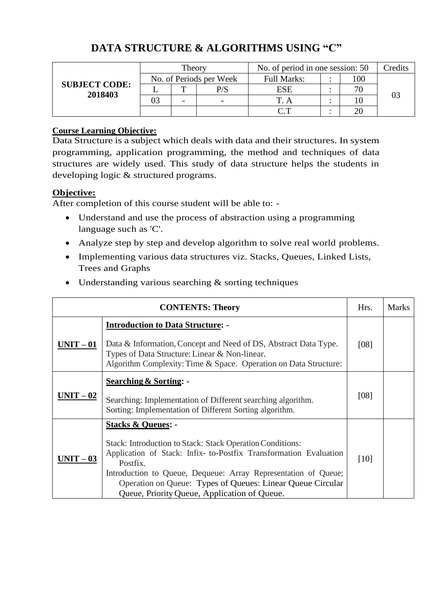|                                 |                         | Theory |     | No. of period in one session: 50 | Credits |  |
|---------------------------------|-------------------------|--------|-----|----------------------------------|---------|--|
|                                 | No. of Periods per Week |        |     | <b>Full Marks:</b>               | 100     |  |
| <b>SUBJECT CODE:</b><br>2018403 |                         | m      | P/S | ESE                              |         |  |
|                                 |                         |        |     |                                  |         |  |
|                                 |                         |        |     | ידי ר                            |         |  |

# **DATA STRUCTURE & ALGORITHMS USING "C"**

### **Course Learning Objective:**

Data Structure is a subject which deals with data and their structures. In system programming, application programming, the method and techniques of data structures are widely used. This study of data structure helps the students in developing logic & structured programs.

#### **Objective:**

After completion of this course student will be able to: -

- Understand and use the process of abstraction using a programming language such as 'C'.
- Analyze step by step and develop algorithm to solve real world problems.
- Implementing various data structures viz. Stacks, Queues, Linked Lists, Trees and Graphs
- Understanding various searching & sorting techniques

|           | <b>CONTENTS: Theory</b>                                                                                                                                                                                                                                                                                                                                     | Hrs. | <b>Marks</b> |
|-----------|-------------------------------------------------------------------------------------------------------------------------------------------------------------------------------------------------------------------------------------------------------------------------------------------------------------------------------------------------------------|------|--------------|
| $UNIT-01$ | <b>Introduction to Data Structure: -</b><br>Data & Information, Concept and Need of DS, Abstract Data Type.<br>Types of Data Structure: Linear & Non-linear.<br>Algorithm Complexity: Time & Space. Operation on Data Structure:                                                                                                                            | [08] |              |
| $UNIT-02$ | <b>Searching &amp; Sorting: -</b><br>Searching: Implementation of Different searching algorithm.<br>Sorting: Implementation of Different Sorting algorithm.                                                                                                                                                                                                 | [08] |              |
| $UNIT-03$ | <b>Stacks &amp; Queues: -</b><br>Stack: Introduction to Stack: Stack Operation Conditions:<br>Application of Stack: Infix- to-Postfix Transformation Evaluation<br>Postfix.<br>Introduction to Queue, Dequeue: Array Representation of Queue;<br>Operation on Queue: Types of Queues: Linear Queue Circular<br>Queue, Priority Queue, Application of Queue. | [10] |              |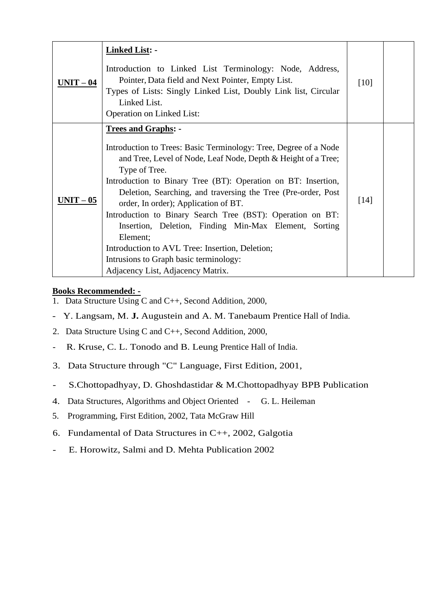| $UNIT-04$ | <b>Linked List: -</b><br>Introduction to Linked List Terminology: Node, Address,<br>Pointer, Data field and Next Pointer, Empty List.<br>Types of Lists: Singly Linked List, Doubly Link list, Circular<br>Linked List.<br><b>Operation on Linked List:</b>                                                                                                                                                                                                                                                                                                                                                                    | $[10]$ |  |
|-----------|--------------------------------------------------------------------------------------------------------------------------------------------------------------------------------------------------------------------------------------------------------------------------------------------------------------------------------------------------------------------------------------------------------------------------------------------------------------------------------------------------------------------------------------------------------------------------------------------------------------------------------|--------|--|
| $UNIT-05$ | <b>Trees and Graphs: -</b><br>Introduction to Trees: Basic Terminology: Tree, Degree of a Node<br>and Tree, Level of Node, Leaf Node, Depth & Height of a Tree;<br>Type of Tree.<br>Introduction to Binary Tree (BT): Operation on BT: Insertion,<br>Deletion, Searching, and traversing the Tree (Pre-order, Post<br>order, In order); Application of BT.<br>Introduction to Binary Search Tree (BST): Operation on BT:<br>Insertion, Deletion, Finding Min-Max Element, Sorting<br>Element;<br>Introduction to AVL Tree: Insertion, Deletion;<br>Intrusions to Graph basic terminology:<br>Adjacency List, Adjacency Matrix. | [14]   |  |

### **Books Recommended: -**

- 1. Data Structure Using C and C++, Second Addition, 2000,
- Y. Langsam, M. **J.** Augustein and A. M. Tanebaum Prentice Hall of India.
- 2. Data Structure Using C and C++, Second Addition, 2000,
- R. Kruse, C. L. Tonodo and B. Leung Prentice Hall of India.
- 3. Data Structure through "C" Language, First Edition, 2001,
- S.Chottopadhyay, D. Ghoshdastidar & M.Chottopadhyay BPB Publication
- 4. Data Structures, Algorithms and Object Oriented G. L. Heileman
- 5. Programming, First Edition, 2002, Tata McGraw Hill
- 6. Fundamental of Data Structures in C++, 2002, Galgotia
- E. Horowitz, Salmi and D. Mehta Publication 2002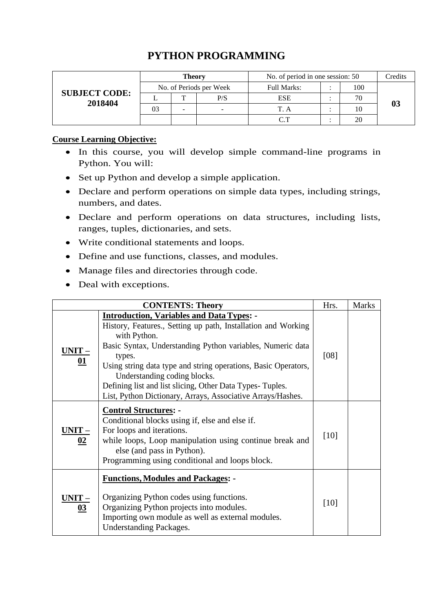# **PYTHON PROGRAMMING**

| <b>SUBJECT CODE:</b><br>2018404 | Theory                  |  |     | No. of period in one session: 50 |  |     | Credits |
|---------------------------------|-------------------------|--|-----|----------------------------------|--|-----|---------|
|                                 | No. of Periods per Week |  |     | <b>Full Marks:</b>               |  | 100 |         |
|                                 |                         |  | P/S | <b>ESE</b>                       |  |     |         |
|                                 | 03                      |  |     | T. A                             |  |     |         |
|                                 |                         |  |     | $\cap$ T                         |  |     |         |

#### **Course Learning Objective:**

- In this course, you will develop simple command-line programs in Python. You will:
- Set up Python and develop a simple application.
- Declare and perform operations on simple data types, including strings, numbers, and dates.
- Declare and perform operations on data structures, including lists, ranges, tuples, dictionaries, and sets.
- Write conditional statements and loops.
- Define and use functions, classes, and modules.
- Manage files and directories through code.
- Deal with exceptions.

|                   | Hrs.                                                                                                                                                                                                                                                                                                                                                                                                                                   | <b>Marks</b> |  |
|-------------------|----------------------------------------------------------------------------------------------------------------------------------------------------------------------------------------------------------------------------------------------------------------------------------------------------------------------------------------------------------------------------------------------------------------------------------------|--------------|--|
| <b>UNIT</b><br>01 | <b>Introduction, Variables and Data Types: -</b><br>History, Features., Setting up path, Installation and Working<br>with Python.<br>Basic Syntax, Understanding Python variables, Numeric data<br>types.<br>Using string data type and string operations, Basic Operators,<br>Understanding coding blocks.<br>Defining list and list slicing, Other Data Types-Tuples.<br>List, Python Dictionary, Arrays, Associative Arrays/Hashes. | [08]         |  |
| <b>UNIT</b><br>02 | <b>Control Structures: -</b><br>Conditional blocks using if, else and else if.<br>For loops and iterations.<br>while loops, Loop manipulation using continue break and<br>else (and pass in Python).<br>Programming using conditional and loops block.                                                                                                                                                                                 | [10]         |  |
| <b>UNIT</b><br>03 | <b>Functions, Modules and Packages: -</b><br>Organizing Python codes using functions.<br>Organizing Python projects into modules.<br>Importing own module as well as external modules.<br><b>Understanding Packages.</b>                                                                                                                                                                                                               | [10]         |  |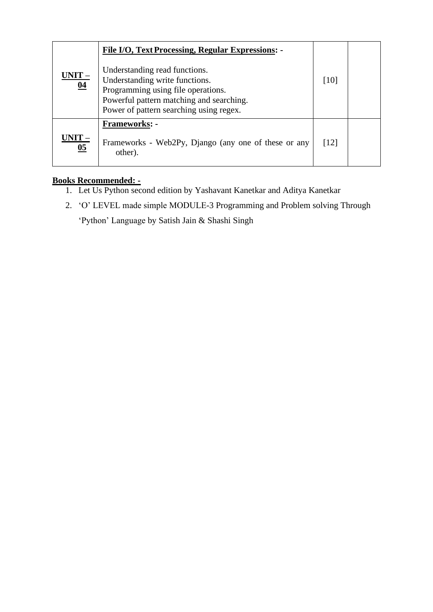| <u> JNIT – </u><br>04   | File I/O, Text Processing, Regular Expressions: -<br>Understanding read functions.<br>Understanding write functions.<br>Programming using file operations.<br>Powerful pattern matching and searching.<br>Power of pattern searching using regex. | [10] |  |
|-------------------------|---------------------------------------------------------------------------------------------------------------------------------------------------------------------------------------------------------------------------------------------------|------|--|
| $-\underline{T1}$<br>05 | <b>Frameworks: -</b><br>Frameworks - Web2Py, Django (any one of these or any<br>other).                                                                                                                                                           | [12] |  |

# **Books Recommended: -**

- 1. Let Us Python second edition by Yashavant Kanetkar and Aditya Kanetkar
- 2. 'O' LEVEL made simple MODULE-3 Programming and Problem solving Through

'Python' Language by Satish Jain & Shashi Singh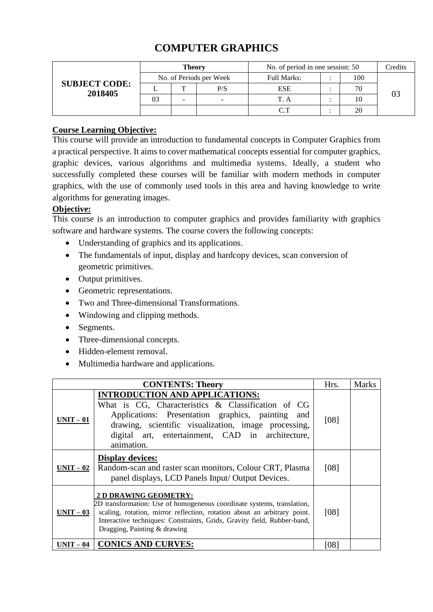| <b>SUBJECT CODE:</b><br>2018405 | <b>Theory</b>           |   |     | No. of period in one session: 50 |  |     | Credits |
|---------------------------------|-------------------------|---|-----|----------------------------------|--|-----|---------|
|                                 | No. of Periods per Week |   |     | <b>Full Marks:</b>               |  | 100 |         |
|                                 |                         | m | P/S | <b>ESE</b>                       |  |     |         |
|                                 | 03                      |   | -   |                                  |  |     |         |
|                                 |                         |   |     | $\cap$ T                         |  |     |         |

# **COMPUTER GRAPHICS**

### **Course Learning Objective:**

This course will provide an introduction to fundamental concepts in Computer Graphics from a practical perspective. It aims to cover mathematical concepts essential for computer graphics, graphic devices, various algorithms and multimedia systems. Ideally, a student who successfully completed these courses will be familiar with modern methods in computer graphics, with the use of commonly used tools in this area and having knowledge to write algorithms for generating images.

#### **Objective:**

This course is an introduction to computer graphics and provides familiarity with graphics software and hardware systems. The course covers the following concepts:

- Understanding of graphics and its applications.
- The fundamentals of input, display and hardcopy devices, scan conversion of geometric primitives.
- Output primitives.
- Geometric representations.
- Two and Three-dimensional Transformations.
- Windowing and clipping methods.
- Segments.
- Three-dimensional concepts.
- Hidden-element removal.
- Multimedia hardware and applications.

|                   | <b>CONTENTS: Theory</b>                                                                                                                                                                                                                                                                | Hrs. | Marks |
|-------------------|----------------------------------------------------------------------------------------------------------------------------------------------------------------------------------------------------------------------------------------------------------------------------------------|------|-------|
| <u> UNIT – 01</u> | <b>INTRODUCTION AND APPLICATIONS:</b><br>What is CG, Characteristics & Classification of CG<br>Applications: Presentation graphics, painting and<br>drawing, scientific visualization, image processing,<br>digital art, entertainment, CAD in architecture,<br>animation.             | [08] |       |
| <u> UNIT – 02</u> | <b>Display devices:</b><br>Random-scan and raster scan monitors, Colour CRT, Plasma<br>panel displays, LCD Panels Input/ Output Devices.                                                                                                                                               | [08] |       |
| UNIT – 03         | 2 D DRAWING GEOMETRY:<br>2D transformation: Use of homogeneous coordinate systems, translation,<br>scaling, rotation, mirror reflection, rotation about an arbitrary point.<br>Interactive techniques: Constraints, Grids, Gravity field, Rubber-band,<br>Dragging, Painting & drawing | [08] |       |
| T – 04            | <b>CONICS AND CURVES:</b>                                                                                                                                                                                                                                                              | [08] |       |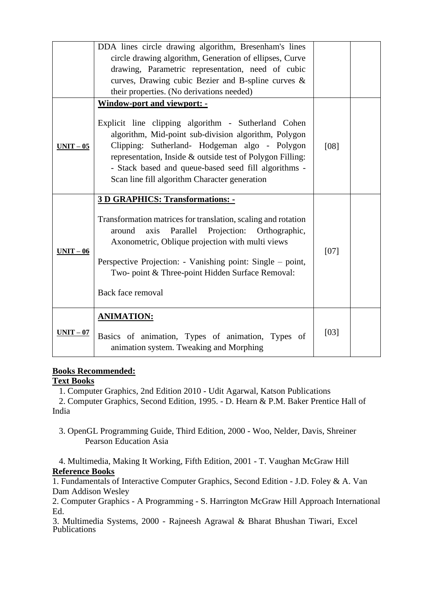|             | DDA lines circle drawing algorithm, Bresenham's lines<br>circle drawing algorithm, Generation of ellipses, Curve<br>drawing, Parametric representation, need of cubic<br>curves, Drawing cubic Bezier and B-spline curves &<br>their properties. (No derivations needed)                                                           |      |  |
|-------------|------------------------------------------------------------------------------------------------------------------------------------------------------------------------------------------------------------------------------------------------------------------------------------------------------------------------------------|------|--|
|             | <b>Window-port and viewport: -</b>                                                                                                                                                                                                                                                                                                 |      |  |
| $UNIT-05$   | Explicit line clipping algorithm - Sutherland Cohen<br>algorithm, Mid-point sub-division algorithm, Polygon<br>Clipping: Sutherland- Hodgeman algo - Polygon<br>representation, Inside & outside test of Polygon Filling:<br>- Stack based and queue-based seed fill algorithms -<br>Scan line fill algorithm Character generation | [08] |  |
|             | <b>3 D GRAPHICS: Transformations: -</b>                                                                                                                                                                                                                                                                                            |      |  |
| $UNIT-06$   | Transformation matrices for translation, scaling and rotation<br>Parallel Projection:<br>axis<br>Orthographic,<br>around<br>Axonometric, Oblique projection with multi views<br>Perspective Projection: - Vanishing point: Single – point,<br>Two- point & Three-point Hidden Surface Removal:<br>Back face removal                | [07] |  |
|             | <b>ANIMATION:</b>                                                                                                                                                                                                                                                                                                                  |      |  |
| $UNIT - 07$ | Basics of animation, Types of animation, Types of<br>animation system. Tweaking and Morphing                                                                                                                                                                                                                                       | [03] |  |

#### **Books Recommended:**

#### **Text Books**

1. Computer Graphics, 2nd Edition 2010 - Udit Agarwal, Katson Publications

2. Computer Graphics, Second Edition, 1995. - D. Hearn & P.M. Baker Prentice Hall of India

 3. OpenGL Programming Guide, Third Edition, 2000 - Woo, Nelder, Davis, Shreiner Pearson Education Asia

#### 4. Multimedia, Making It Working, Fifth Edition, 2001 - T. Vaughan McGraw Hill **Reference Books**

1. Fundamentals of Interactive Computer Graphics, Second Edition - J.D. Foley & A. Van Dam Addison Wesley

2. Computer Graphics - A Programming - S. Harrington McGraw Hill Approach International Ed.

3. Multimedia Systems, 2000 - Rajneesh Agrawal & Bharat Bhushan Tiwari, Excel Publications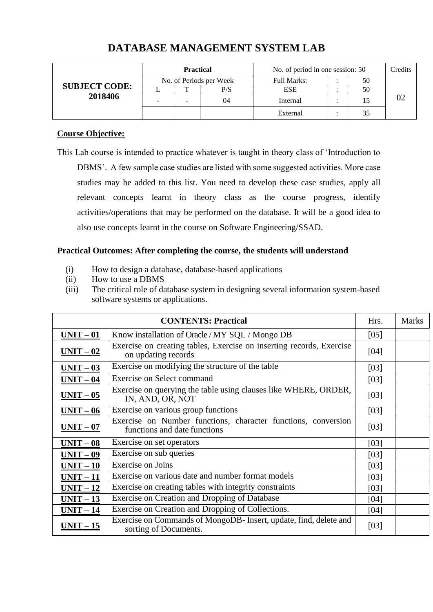| <b>SUBJECT CODE:</b><br>2018406 | <b>Practical</b>        |                          |     | No. of period in one session: 50 |  |    | Credits |
|---------------------------------|-------------------------|--------------------------|-----|----------------------------------|--|----|---------|
|                                 | No. of Periods per Week |                          |     | <b>Full Marks:</b>               |  | 50 |         |
|                                 |                         |                          | P/S | <b>ESE</b>                       |  | 50 |         |
|                                 | -                       | $\overline{\phantom{0}}$ | 04  | Internal                         |  |    |         |
|                                 |                         |                          |     | External                         |  | 35 |         |

# **DATABASE MANAGEMENT SYSTEM LAB**

#### **Course Objective:**

This Lab course is intended to practice whatever is taught in theory class of 'Introduction to DBMS'. A few sample case studies are listed with some suggested activities. More case studies may be added to this list. You need to develop these case studies, apply all relevant concepts learnt in theory class as the course progress, identify activities/operations that may be performed on the database. It will be a good idea to also use concepts learnt in the course on Software Engineering/SSAD.

#### **Practical Outcomes: After completing the course, the students will understand**

- (i) How to design a database, database-based applications
- (ii) How to use a DBMS
- (iii) The critical role of database system in designing several information system-based software systems or applications.

|           | <b>CONTENTS: Practical</b>                                                                    | Hrs.   | <b>Marks</b> |
|-----------|-----------------------------------------------------------------------------------------------|--------|--------------|
| $UNIT-01$ | Know installation of Oracle / MY SQL / Mongo DB                                               | [05]   |              |
| $UNIT-02$ | Exercise on creating tables, Exercise on inserting records, Exercise<br>on updating records   | [04]   |              |
| $UNIT-03$ | Exercise on modifying the structure of the table                                              | [03]   |              |
| $UNIT-04$ | <b>Exercise on Select command</b>                                                             | [03]   |              |
| $UNIT-05$ | Exercise on querying the table using clauses like WHERE, ORDER,<br>IN, AND, OR, NOT           | $[03]$ |              |
| $UNIT-06$ | Exercise on various group functions                                                           | [03]   |              |
| $UNIT-07$ | Exercise on Number functions, character functions, conversion<br>functions and date functions | [03]   |              |
| $UNIT-08$ | Exercise on set operators                                                                     | [03]   |              |
| $UNIT-09$ | Exercise on sub queries                                                                       | $[03]$ |              |
| $UNIT-10$ | Exercise on Joins                                                                             | [03]   |              |
| $UNIT-11$ | Exercise on various date and number format models                                             | [03]   |              |
| $UNIT-12$ | Exercise on creating tables with integrity constraints                                        | [03]   |              |
| $UNIT-13$ | Exercise on Creation and Dropping of Database                                                 | [04]   |              |
| $UNIT-14$ | Exercise on Creation and Dropping of Collections.                                             | [04]   |              |
| $UNIT-15$ | Exercise on Commands of MongoDB-Insert, update, find, delete and<br>sorting of Documents.     | [03]   |              |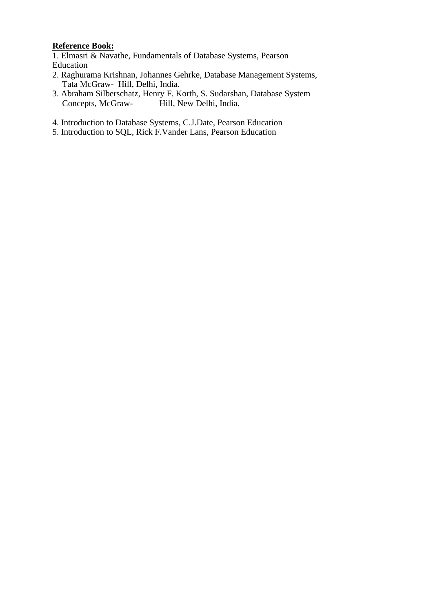# **Reference Book:**

1. Elmasri & Navathe, Fundamentals of Database Systems, Pearson Education

- 2. Raghurama Krishnan, Johannes Gehrke, Database Management Systems, Tata McGraw- Hill, Delhi, India.
- 3. Abraham Silberschatz, Henry F. Korth, S. Sudarshan, Database System<br>Concepts, McGraw-<br>Hill, New Delhi, India. Hill, New Delhi, India.
- 4. Introduction to Database Systems, C.J.Date, Pearson Education
- 5. Introduction to SQL, Rick F.Vander Lans, Pearson Education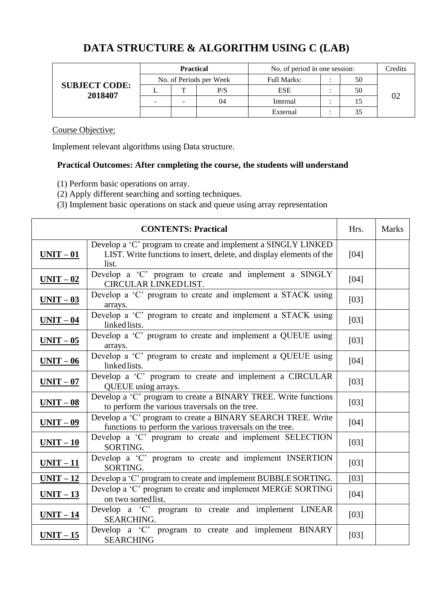# **DATA STRUCTURE & ALGORITHM USING C (LAB)**

| <b>SUBJECT CODE:</b><br>2018407 | <b>Practical</b>        |  |     | No. of period in one session: |  |    | Credits |
|---------------------------------|-------------------------|--|-----|-------------------------------|--|----|---------|
|                                 | No. of Periods per Week |  |     | <b>Full Marks:</b>            |  | 50 |         |
|                                 |                         |  | P/S | <b>ESE</b>                    |  | 50 |         |
|                                 |                         |  | 04  | Internal                      |  |    |         |
|                                 |                         |  |     | External                      |  |    |         |

#### Course Objective:

Implement relevant algorithms using Data structure.

# **Practical Outcomes: After completing the course, the students will understand**

- (1) Perform basic operations on array.
- (2) Apply different searching and sorting techniques.
- (3) Implement basic operations on stack and queue using array representation

|           | <b>CONTENTS: Practical</b>                                                                                                                     | Hrs.   | <b>Marks</b> |
|-----------|------------------------------------------------------------------------------------------------------------------------------------------------|--------|--------------|
| $UNIT-01$ | Develop a 'C' program to create and implement a SINGLY LINKED<br>LIST. Write functions to insert, delete, and display elements of the<br>list. | [04]   |              |
| $UNIT-02$ | Develop a 'C' program to create and implement a SINGLY<br>CIRCULAR LINKEDLIST.                                                                 | [04]   |              |
| $UNIT-03$ | Develop a 'C' program to create and implement a STACK using<br>arrays.                                                                         | $[03]$ |              |
| $UNIT-04$ | Develop a 'C' program to create and implement a STACK using<br>linked lists.                                                                   | $[03]$ |              |
| $UNIT-05$ | Develop a 'C' program to create and implement a QUEUE using<br>arrays.                                                                         | [03]   |              |
| $UNIT-06$ | Develop a 'C' program to create and implement a QUEUE using<br>linked lists.                                                                   | [04]   |              |
| $UNIT-07$ | Develop a 'C' program to create and implement a CIRCULAR<br>QUEUE using arrays.                                                                | $[03]$ |              |
| $UNIT-08$ | Develop a 'C' program to create a BINARY TREE. Write functions<br>to perform the various traversals on the tree.                               | [03]   |              |
| $UNIT-09$ | Develop a 'C' program to create a BINARY SEARCH TREE. Write<br>functions to perform the various traversals on the tree.                        | [04]   |              |
| $UNIT-10$ | Develop a 'C' program to create and implement SELECTION<br>SORTING.                                                                            | [03]   |              |
| $UNIT-11$ | Develop a 'C' program to create and implement INSERTION<br>SORTING.                                                                            | $[03]$ |              |
| $UNIT-12$ | Develop a 'C' program to create and implement BUBBLE SORTING.                                                                                  | $[03]$ |              |
| $UNIT-13$ | Develop a 'C' program to create and implement MERGE SORTING<br>on two sortedlist.                                                              | $[04]$ |              |
| $UNIT-14$ | Develop a 'C' program to create and implement LINEAR<br><b>SEARCHING.</b>                                                                      | [03]   |              |
| $UNIT-15$ | Develop a 'C' program to create and implement BINARY<br><b>SEARCHING</b>                                                                       | [03]   |              |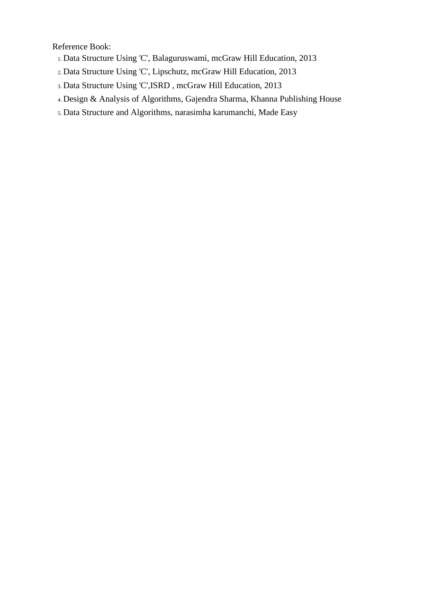Reference Book:

- 1. Data Structure Using 'C', Balaguruswami, mcGraw Hill Education, 2013
- 2. Data Structure Using 'C', Lipschutz, mcGraw Hill Education, 2013
- 3. Data Structure Using 'C',ISRD , mcGraw Hill Education, 2013
- 4. Design & Analysis of Algorithms, Gajendra Sharma, Khanna Publishing House
- 5. Data Structure and Algorithms, narasimha karumanchi, Made Easy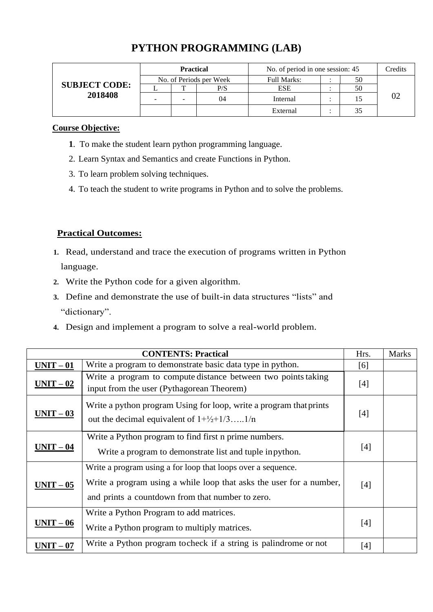| <b>SUBJECT CODE:</b><br>2018408 | <b>Practical</b>         |   |     | No. of period in one session: 45 |  |    | Credits |
|---------------------------------|--------------------------|---|-----|----------------------------------|--|----|---------|
|                                 | No. of Periods per Week  |   |     | <b>Full Marks:</b>               |  | 50 |         |
|                                 |                          |   | P/S | <b>ESE</b>                       |  | 50 |         |
|                                 | $\overline{\phantom{0}}$ | - | 04  | Internal                         |  | 15 | 02      |
|                                 |                          |   |     | External                         |  | 35 |         |

# **PYTHON PROGRAMMING (LAB)**

#### **Course Objective:**

- **1**. To make the student learn python programming language.
- 2. Learn Syntax and Semantics and create Functions in Python.
- 3. To learn problem solving techniques.
- 4. To teach the student to write programs in Python and to solve the problems.

### **Practical Outcomes:**

- **1.** Read, understand and trace the execution of programs written in Python language.
- **2.** Write the Python code for a given algorithm.
- **3.** Define and demonstrate the use of built-in data structures "lists" and "dictionary".
- **4.** Design and implement a program to solve a real-world problem.

|           | <b>CONTENTS: Practical</b>                                                                                                                                                              | Hrs.  | <b>Marks</b> |
|-----------|-----------------------------------------------------------------------------------------------------------------------------------------------------------------------------------------|-------|--------------|
| $UNIT-01$ | Write a program to demonstrate basic data type in python.                                                                                                                               | [6]   |              |
| $UNIT-02$ | Write a program to compute distance between two points taking<br>input from the user (Pythagorean Theorem)                                                                              | [4]   |              |
| $UNIT-03$ | Write a python program Using for loop, write a program that prints<br>out the decimal equivalent of $1+\frac{1}{2}+\frac{1}{3}$ 1/n                                                     | [4]   |              |
| $UNIT-04$ | Write a Python program to find first n prime numbers.<br>Write a program to demonstrate list and tuple in python.                                                                       | [4]   |              |
| $UNIT-05$ | Write a program using a for loop that loops over a sequence.<br>Write a program using a while loop that asks the user for a number,<br>and prints a countdown from that number to zero. | [4]   |              |
| $UNIT-06$ | Write a Python Program to add matrices.<br>Write a Python program to multiply matrices.                                                                                                 | $[4]$ |              |
| $UNIT-07$ | Write a Python program to check if a string is palindrome or not                                                                                                                        | $[4]$ |              |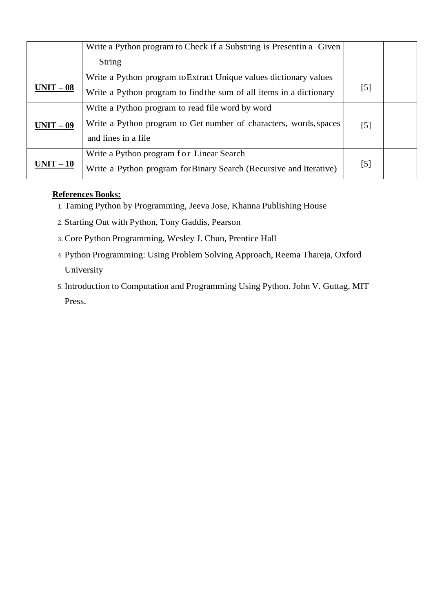|                   | Write a Python program to Check if a Substring is Presentin a Given |       |  |
|-------------------|---------------------------------------------------------------------|-------|--|
|                   | String                                                              |       |  |
| <u> UNIT – 08</u> | Write a Python program to Extract Unique values dictionary values   |       |  |
|                   | Write a Python program to find the sum of all items in a dictionary | [5]   |  |
| $UNIT-09$         | Write a Python program to read file word by word                    |       |  |
|                   | Write a Python program to Get number of characters, words, spaces   | $[5]$ |  |
|                   | and lines in a file                                                 |       |  |
| $UNIT-10$         | Write a Python program for Linear Search                            |       |  |
|                   | Write a Python program for Binary Search (Recursive and Iterative)  | [5]   |  |

### **References Books:**

- 1. Taming Python by Programming, Jeeva Jose, Khanna Publishing House
- 2. Starting Out with Python, Tony Gaddis, Pearson
- 3. Core Python Programming, Wesley J. Chun, Prentice Hall
- 4. Python Programming: Using Problem Solving Approach, Reema Thareja, Oxford University
- 5. Introduction to Computation and Programming Using Python. John V. Guttag, MIT Press.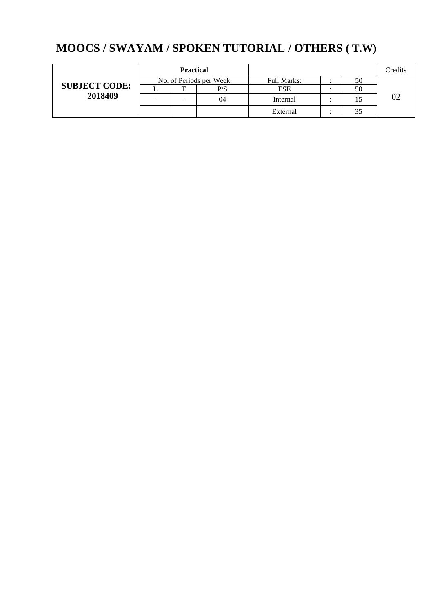# **MOOCS / SWAYAM / SPOKEN TUTORIAL / OTHERS ( T.W)**

|                      | <b>Practical</b>        |   |     |                    |  |    | Credits |
|----------------------|-------------------------|---|-----|--------------------|--|----|---------|
|                      | No. of Periods per Week |   |     | <b>Full Marks:</b> |  | 50 |         |
| <b>SUBJECT CODE:</b> |                         |   | P/S | <b>ESE</b>         |  | 50 |         |
| 2018409              | -                       | - | 04  | Internal           |  |    |         |
|                      |                         |   |     | External           |  |    |         |